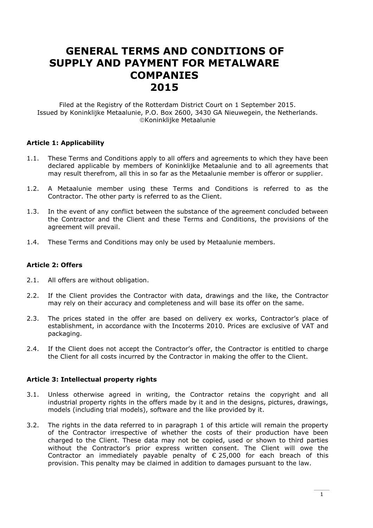# **GENERAL TERMS AND CONDITIONS OF SUPPLY AND PAYMENT FOR METALWARE COMPANIES 2015**

Filed at the Registry of the Rotterdam District Court on 1 September 2015. Issued by Koninklijke Metaalunie, P.O. Box 2600, 3430 GA Nieuwegein, the Netherlands. Koninklijke Metaalunie

# **Article 1: Applicability**

- 1.1. These Terms and Conditions apply to all offers and agreements to which they have been declared applicable by members of Koninklijke Metaalunie and to all agreements that may result therefrom, all this in so far as the Metaalunie member is offeror or supplier.
- 1.2. A Metaalunie member using these Terms and Conditions is referred to as the Contractor. The other party is referred to as the Client.
- 1.3. In the event of any conflict between the substance of the agreement concluded between the Contractor and the Client and these Terms and Conditions, the provisions of the agreement will prevail.
- 1.4. These Terms and Conditions may only be used by Metaalunie members.

# **Article 2: Offers**

- 2.1. All offers are without obligation.
- 2.2. If the Client provides the Contractor with data, drawings and the like, the Contractor may rely on their accuracy and completeness and will base its offer on the same.
- 2.3. The prices stated in the offer are based on delivery ex works, Contractor's place of establishment, in accordance with the Incoterms 2010. Prices are exclusive of VAT and packaging.
- 2.4. If the Client does not accept the Contractor's offer, the Contractor is entitled to charge the Client for all costs incurred by the Contractor in making the offer to the Client.

# **Article 3: Intellectual property rights**

- 3.1. Unless otherwise agreed in writing, the Contractor retains the copyright and all industrial property rights in the offers made by it and in the designs, pictures, drawings, models (including trial models), software and the like provided by it.
- 3.2. The rights in the data referred to in paragraph 1 of this article will remain the property of the Contractor irrespective of whether the costs of their production have been charged to the Client. These data may not be copied, used or shown to third parties without the Contractor's prior express written consent. The Client will owe the Contractor an immediately payable penalty of  $\epsilon$  25,000 for each breach of this provision. This penalty may be claimed in addition to damages pursuant to the law.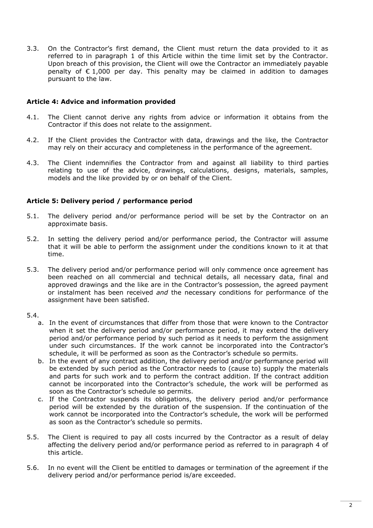3.3. On the Contractor's first demand, the Client must return the data provided to it as referred to in paragraph 1 of this Article within the time limit set by the Contractor. Upon breach of this provision, the Client will owe the Contractor an immediately payable penalty of  $\epsilon$  1,000 per day. This penalty may be claimed in addition to damages pursuant to the law.

# **Article 4: Advice and information provided**

- 4.1. The Client cannot derive any rights from advice or information it obtains from the Contractor if this does not relate to the assignment.
- 4.2. If the Client provides the Contractor with data, drawings and the like, the Contractor may rely on their accuracy and completeness in the performance of the agreement.
- 4.3. The Client indemnifies the Contractor from and against all liability to third parties relating to use of the advice, drawings, calculations, designs, materials, samples, models and the like provided by or on behalf of the Client.

# **Article 5: Delivery period / performance period**

- 5.1. The delivery period and/or performance period will be set by the Contractor on an approximate basis.
- 5.2. In setting the delivery period and/or performance period, the Contractor will assume that it will be able to perform the assignment under the conditions known to it at that time.
- 5.3. The delivery period and/or performance period will only commence once agreement has been reached on all commercial and technical details, all necessary data, final and approved drawings and the like are in the Contractor's possession, the agreed payment or instalment has been received *and* the necessary conditions for performance of the assignment have been satisfied.

# 5.4.

- a. In the event of circumstances that differ from those that were known to the Contractor when it set the delivery period and/or performance period, it may extend the delivery period and/or performance period by such period as it needs to perform the assignment under such circumstances. If the work cannot be incorporated into the Contractor's schedule, it will be performed as soon as the Contractor's schedule so permits.
- b. In the event of any contract addition, the delivery period and/or performance period will be extended by such period as the Contractor needs to (cause to) supply the materials and parts for such work and to perform the contract addition. If the contract addition cannot be incorporated into the Contractor's schedule, the work will be performed as soon as the Contractor's schedule so permits.
- c. If the Contractor suspends its obligations, the delivery period and/or performance period will be extended by the duration of the suspension. If the continuation of the work cannot be incorporated into the Contractor's schedule, the work will be performed as soon as the Contractor's schedule so permits.
- 5.5. The Client is required to pay all costs incurred by the Contractor as a result of delay affecting the delivery period and/or performance period as referred to in paragraph 4 of this article.
- 5.6. In no event will the Client be entitled to damages or termination of the agreement if the delivery period and/or performance period is/are exceeded.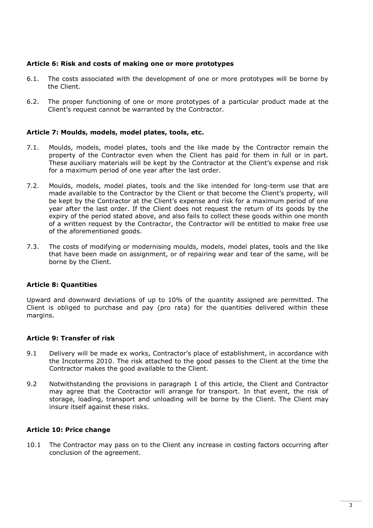# **Article 6: Risk and costs of making one or more prototypes**

- 6.1. The costs associated with the development of one or more prototypes will be borne by the Client.
- 6.2. The proper functioning of one or more prototypes of a particular product made at the Client's request cannot be warranted by the Contractor.

# **Article 7: Moulds, models, model plates, tools, etc.**

- 7.1. Moulds, models, model plates, tools and the like made by the Contractor remain the property of the Contractor even when the Client has paid for them in full or in part. These auxiliary materials will be kept by the Contractor at the Client's expense and risk for a maximum period of one year after the last order.
- 7.2. Moulds, models, model plates, tools and the like intended for long-term use that are made available to the Contractor by the Client or that become the Client's property, will be kept by the Contractor at the Client's expense and risk for a maximum period of one year after the last order. If the Client does not request the return of its goods by the expiry of the period stated above, and also fails to collect these goods within one month of a written request by the Contractor, the Contractor will be entitled to make free use of the aforementioned goods.
- 7.3. The costs of modifying or modernising moulds, models, model plates, tools and the like that have been made on assignment, or of repairing wear and tear of the same, will be borne by the Client.

# **Article 8: Quantities**

Upward and downward deviations of up to 10% of the quantity assigned are permitted. The Client is obliged to purchase and pay (pro rata) for the quantities delivered within these margins.

# **Article 9: Transfer of risk**

- 9.1 Delivery will be made ex works, Contractor's place of establishment, in accordance with the Incoterms 2010. The risk attached to the good passes to the Client at the time the Contractor makes the good available to the Client.
- 9.2 Notwithstanding the provisions in paragraph 1 of this article, the Client and Contractor may agree that the Contractor will arrange for transport. In that event, the risk of storage, loading, transport and unloading will be borne by the Client. The Client may insure itself against these risks.

# **Article 10: Price change**

10.1 The Contractor may pass on to the Client any increase in costing factors occurring after conclusion of the agreement.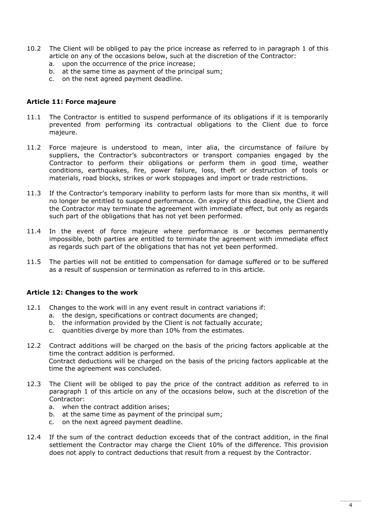- 10.2 The Client will be obliged to pay the price increase as referred to in paragraph 1 of this article on any of the occasions below, such at the discretion of the Contractor:
	- a. upon the occurrence of the price increase;
	- b. at the same time as payment of the principal sum;
	- c. on the next agreed payment deadline.

#### **Article 11: Force majeure**

- 11.1 The Contractor is entitled to suspend performance of its obligations if it is temporarily prevented from performing its contractual obligations to the Client due to force majeure.
- 11.2 Force majeure is understood to mean, inter alia, the circumstance of failure by suppliers, the Contractor's subcontractors or transport companies engaged by the Contractor to perform their obligations or perform them in good time, weather conditions, earthquakes, fire, power failure, loss, theft or destruction of tools or materials, road blocks, strikes or work stoppages and import or trade restrictions.
- 11.3 If the Contractor's temporary inability to perform lasts for more than six months, it will no longer be entitled to suspend performance. On expiry of this deadline, the Client and the Contractor may terminate the agreement with immediate effect, but only as regards such part of the obligations that has not yet been performed.
- 11.4 In the event of force majeure where performance is or becomes permanently impossible, both parties are entitled to terminate the agreement with immediate effect as regards such part of the obligations that has not yet been performed.
- 11.5 The parties will not be entitled to compensation for damage suffered or to be suffered as a result of suspension or termination as referred to in this article.

# **Article 12: Changes to the work**

- 12.1 Changes to the work will in any event result in contract variations if:
	- a. the design, specifications or contract documents are changed;
	- b. the information provided by the Client is not factually accurate;
	- c. quantities diverge by more than 10% from the estimates.
- 12.2 Contract additions will be charged on the basis of the pricing factors applicable at the time the contract addition is performed. Contract deductions will be charged on the basis of the pricing factors applicable at the

time the agreement was concluded.

- 12.3 The Client will be obliged to pay the price of the contract addition as referred to in paragraph 1 of this article on any of the occasions below, such at the discretion of the Contractor:
	- a. when the contract addition arises;
	- b. at the same time as payment of the principal sum;
	- c. on the next agreed payment deadline.
- 12.4 If the sum of the contract deduction exceeds that of the contract addition, in the final settlement the Contractor may charge the Client 10% of the difference. This provision does not apply to contract deductions that result from a request by the Contractor.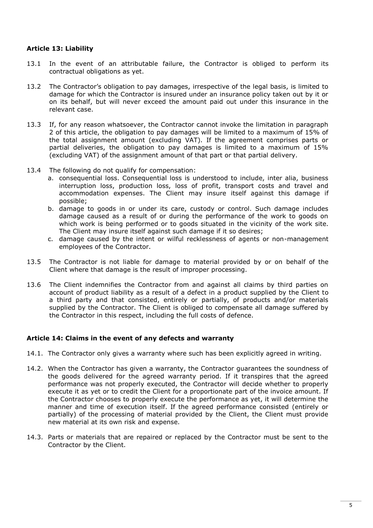# **Article 13: Liability**

- 13.1 In the event of an attributable failure, the Contractor is obliged to perform its contractual obligations as yet.
- 13.2 The Contractor's obligation to pay damages, irrespective of the legal basis, is limited to damage for which the Contractor is insured under an insurance policy taken out by it or on its behalf, but will never exceed the amount paid out under this insurance in the relevant case.
- 13.3 If, for any reason whatsoever, the Contractor cannot invoke the limitation in paragraph 2 of this article, the obligation to pay damages will be limited to a maximum of 15% of the total assignment amount (excluding VAT). If the agreement comprises parts or partial deliveries, the obligation to pay damages is limited to a maximum of 15% (excluding VAT) of the assignment amount of that part or that partial delivery.
- 13.4 The following do not qualify for compensation:
	- a. consequential loss. Consequential loss is understood to include, inter alia, business interruption loss, production loss, loss of profit, transport costs and travel and accommodation expenses. The Client may insure itself against this damage if possible;
	- b. damage to goods in or under its care, custody or control. Such damage includes damage caused as a result of or during the performance of the work to goods on which work is being performed or to goods situated in the vicinity of the work site. The Client may insure itself against such damage if it so desires;
	- c. damage caused by the intent or wilful recklessness of agents or non-management employees of the Contractor.
- 13.5 The Contractor is not liable for damage to material provided by or on behalf of the Client where that damage is the result of improper processing.
- 13.6 The Client indemnifies the Contractor from and against all claims by third parties on account of product liability as a result of a defect in a product supplied by the Client to a third party and that consisted, entirely or partially, of products and/or materials supplied by the Contractor. The Client is obliged to compensate all damage suffered by the Contractor in this respect, including the full costs of defence.

# **Article 14: Claims in the event of any defects and warranty**

- 14.1. The Contractor only gives a warranty where such has been explicitly agreed in writing.
- 14.2. When the Contractor has given a warranty, the Contractor guarantees the soundness of the goods delivered for the agreed warranty period. If it transpires that the agreed performance was not properly executed, the Contractor will decide whether to properly execute it as yet or to credit the Client for a proportionate part of the invoice amount. If the Contractor chooses to properly execute the performance as yet, it will determine the manner and time of execution itself. If the agreed performance consisted (entirely or partially) of the processing of material provided by the Client, the Client must provide new material at its own risk and expense.
- 14.3. Parts or materials that are repaired or replaced by the Contractor must be sent to the Contractor by the Client.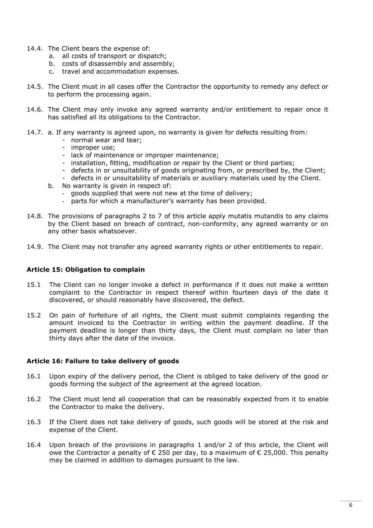- 14.4. The Client bears the expense of:
	- a. all costs of transport or dispatch;
	- b. costs of disassembly and assembly;
	- c. travel and accommodation expenses.
- 14.5. The Client must in all cases offer the Contractor the opportunity to remedy any defect or to perform the processing again.
- 14.6. The Client may only invoke any agreed warranty and/or entitlement to repair once it has satisfied all its obligations to the Contractor.
- 14.7. a. If any warranty is agreed upon, no warranty is given for defects resulting from:
	- normal wear and tear;
	- improper use;
	- lack of maintenance or improper maintenance;
	- installation, fitting, modification or repair by the Client or third parties;
	- defects in or unsuitability of goods originating from, or prescribed by, the Client;
	- defects in or unsuitability of materials or auxiliary materials used by the Client.
	- b. No warranty is given in respect of:
		- goods supplied that were not new at the time of delivery;
		- parts for which a manufacturer's warranty has been provided.
- 14.8. The provisions of paragraphs 2 to 7 of this article apply mutatis mutandis to any claims by the Client based on breach of contract, non-conformity, any agreed warranty or on any other basis whatsoever.
- 14.9. The Client may not transfer any agreed warranty rights or other entitlements to repair.

# **Article 15: Obligation to complain**

- 15.1 The Client can no longer invoke a defect in performance if it does not make a written complaint to the Contractor in respect thereof within fourteen days of the date it discovered, or should reasonably have discovered, the defect.
- 15.2 On pain of forfeiture of all rights, the Client must submit complaints regarding the amount invoiced to the Contractor in writing within the payment deadline. If the payment deadline is longer than thirty days, the Client must complain no later than thirty days after the date of the invoice.

# **Article 16: Failure to take delivery of goods**

- 16.1 Upon expiry of the delivery period, the Client is obliged to take delivery of the good or goods forming the subject of the agreement at the agreed location.
- 16.2 The Client must lend all cooperation that can be reasonably expected from it to enable the Contractor to make the delivery.
- 16.3 If the Client does not take delivery of goods, such goods will be stored at the risk and expense of the Client.
- 16.4 Upon breach of the provisions in paragraphs 1 and/or 2 of this article, the Client will owe the Contractor a penalty of  $\epsilon$  250 per day, to a maximum of  $\epsilon$  25,000. This penalty may be claimed in addition to damages pursuant to the law.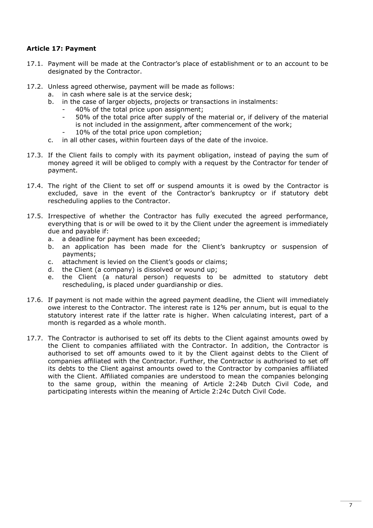# **Article 17: Payment**

- 17.1. Payment will be made at the Contractor's place of establishment or to an account to be designated by the Contractor.
- 17.2. Unless agreed otherwise, payment will be made as follows:
	- a. in cash where sale is at the service desk;
	- b. in the case of larger objects, projects or transactions in instalments:
		- 40% of the total price upon assignment;
		- 50% of the total price after supply of the material or, if delivery of the material is not included in the assignment, after commencement of the work; 10% of the total price upon completion;
	- c. in all other cases, within fourteen days of the date of the invoice.
- 17.3. If the Client fails to comply with its payment obligation, instead of paying the sum of money agreed it will be obliged to comply with a request by the Contractor for tender of payment.
- 17.4. The right of the Client to set off or suspend amounts it is owed by the Contractor is excluded, save in the event of the Contractor's bankruptcy or if statutory debt rescheduling applies to the Contractor.
- 17.5. Irrespective of whether the Contractor has fully executed the agreed performance, everything that is or will be owed to it by the Client under the agreement is immediately due and payable if:
	- a. a deadline for payment has been exceeded;
	- b. an application has been made for the Client's bankruptcy or suspension of payments;
	- c. attachment is levied on the Client's goods or claims;
	- d. the Client (a company) is dissolved or wound up;
	- e. the Client (a natural person) requests to be admitted to statutory debt rescheduling, is placed under guardianship or dies.
- 17.6. If payment is not made within the agreed payment deadline, the Client will immediately owe interest to the Contractor. The interest rate is 12% per annum, but is equal to the statutory interest rate if the latter rate is higher. When calculating interest, part of a month is regarded as a whole month.
- 17.7. The Contractor is authorised to set off its debts to the Client against amounts owed by the Client to companies affiliated with the Contractor. In addition, the Contractor is authorised to set off amounts owed to it by the Client against debts to the Client of companies affiliated with the Contractor. Further, the Contractor is authorised to set off its debts to the Client against amounts owed to the Contractor by companies affiliated with the Client. Affiliated companies are understood to mean the companies belonging to the same group, within the meaning of Article 2:24b Dutch Civil Code, and participating interests within the meaning of Article 2:24c Dutch Civil Code.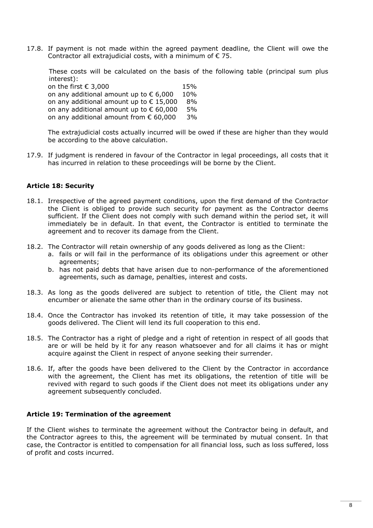17.8. If payment is not made within the agreed payment deadline, the Client will owe the Contractor all extrajudicial costs, with a minimum of  $\epsilon$  75.

These costs will be calculated on the basis of the following table (principal sum plus interest):

on the first  $\epsilon$  3,000 15% on any additional amount up to  $\epsilon$  6,000 10% on any additional amount up to  $\epsilon$  15,000 8% on any additional amount up to  $\epsilon$  60,000 5% on any additional amount from € 60,000 3%

The extrajudicial costs actually incurred will be owed if these are higher than they would be according to the above calculation.

17.9. If judgment is rendered in favour of the Contractor in legal proceedings, all costs that it has incurred in relation to these proceedings will be borne by the Client.

# **Article 18: Security**

- 18.1. Irrespective of the agreed payment conditions, upon the first demand of the Contractor the Client is obliged to provide such security for payment as the Contractor deems sufficient. If the Client does not comply with such demand within the period set, it will immediately be in default. In that event, the Contractor is entitled to terminate the agreement and to recover its damage from the Client.
- 18.2. The Contractor will retain ownership of any goods delivered as long as the Client:
	- a. fails or will fail in the performance of its obligations under this agreement or other agreements;
	- b. has not paid debts that have arisen due to non-performance of the aforementioned agreements, such as damage, penalties, interest and costs.
- 18.3. As long as the goods delivered are subject to retention of title, the Client may not encumber or alienate the same other than in the ordinary course of its business.
- 18.4. Once the Contractor has invoked its retention of title, it may take possession of the goods delivered. The Client will lend its full cooperation to this end.
- 18.5. The Contractor has a right of pledge and a right of retention in respect of all goods that are or will be held by it for any reason whatsoever and for all claims it has or might acquire against the Client in respect of anyone seeking their surrender.
- 18.6. If, after the goods have been delivered to the Client by the Contractor in accordance with the agreement, the Client has met its obligations, the retention of title will be revived with regard to such goods if the Client does not meet its obligations under any agreement subsequently concluded.

# **Article 19: Termination of the agreement**

If the Client wishes to terminate the agreement without the Contractor being in default, and the Contractor agrees to this, the agreement will be terminated by mutual consent. In that case, the Contractor is entitled to compensation for all financial loss, such as loss suffered, loss of profit and costs incurred.